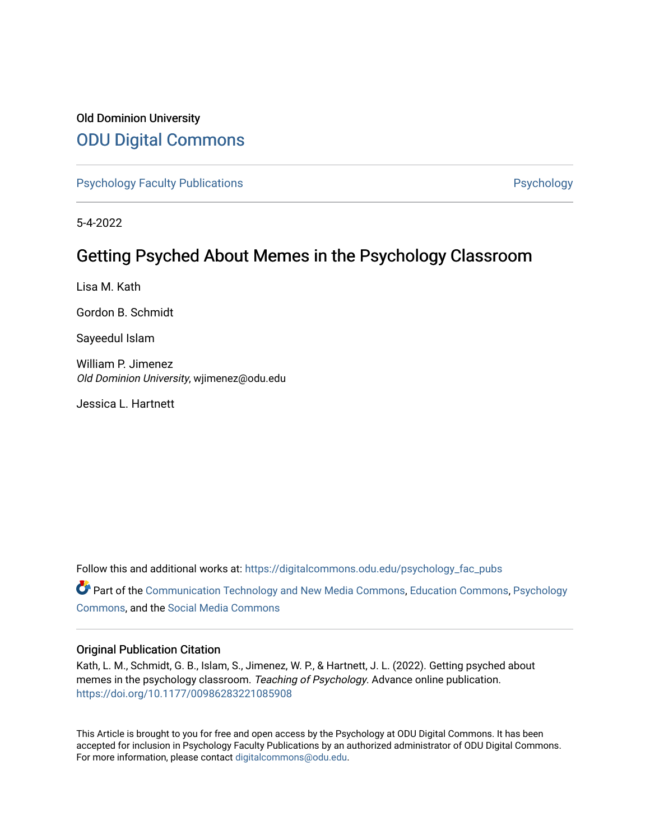## Old Dominion University [ODU Digital Commons](https://digitalcommons.odu.edu/)

[Psychology Faculty Publications](https://digitalcommons.odu.edu/psychology_fac_pubs) **Psychology** Psychology

5-4-2022

# Getting Psyched About Memes in the Psychology Classroom

Lisa M. Kath

Gordon B. Schmidt

Sayeedul Islam

William P. Jimenez Old Dominion University, wjimenez@odu.edu

Jessica L. Hartnett

Follow this and additional works at: [https://digitalcommons.odu.edu/psychology\\_fac\\_pubs](https://digitalcommons.odu.edu/psychology_fac_pubs?utm_source=digitalcommons.odu.edu%2Fpsychology_fac_pubs%2F131&utm_medium=PDF&utm_campaign=PDFCoverPages)

Part of the [Communication Technology and New Media Commons,](http://network.bepress.com/hgg/discipline/327?utm_source=digitalcommons.odu.edu%2Fpsychology_fac_pubs%2F131&utm_medium=PDF&utm_campaign=PDFCoverPages) [Education Commons](http://network.bepress.com/hgg/discipline/784?utm_source=digitalcommons.odu.edu%2Fpsychology_fac_pubs%2F131&utm_medium=PDF&utm_campaign=PDFCoverPages), [Psychology](http://network.bepress.com/hgg/discipline/404?utm_source=digitalcommons.odu.edu%2Fpsychology_fac_pubs%2F131&utm_medium=PDF&utm_campaign=PDFCoverPages)  [Commons](http://network.bepress.com/hgg/discipline/404?utm_source=digitalcommons.odu.edu%2Fpsychology_fac_pubs%2F131&utm_medium=PDF&utm_campaign=PDFCoverPages), and the [Social Media Commons](http://network.bepress.com/hgg/discipline/1249?utm_source=digitalcommons.odu.edu%2Fpsychology_fac_pubs%2F131&utm_medium=PDF&utm_campaign=PDFCoverPages) 

## Original Publication Citation

Kath, L. M., Schmidt, G. B., Islam, S., Jimenez, W. P., & Hartnett, J. L. (2022). Getting psyched about memes in the psychology classroom. Teaching of Psychology. Advance online publication. <https://doi.org/10.1177/00986283221085908>

This Article is brought to you for free and open access by the Psychology at ODU Digital Commons. It has been accepted for inclusion in Psychology Faculty Publications by an authorized administrator of ODU Digital Commons. For more information, please contact [digitalcommons@odu.edu](mailto:digitalcommons@odu.edu).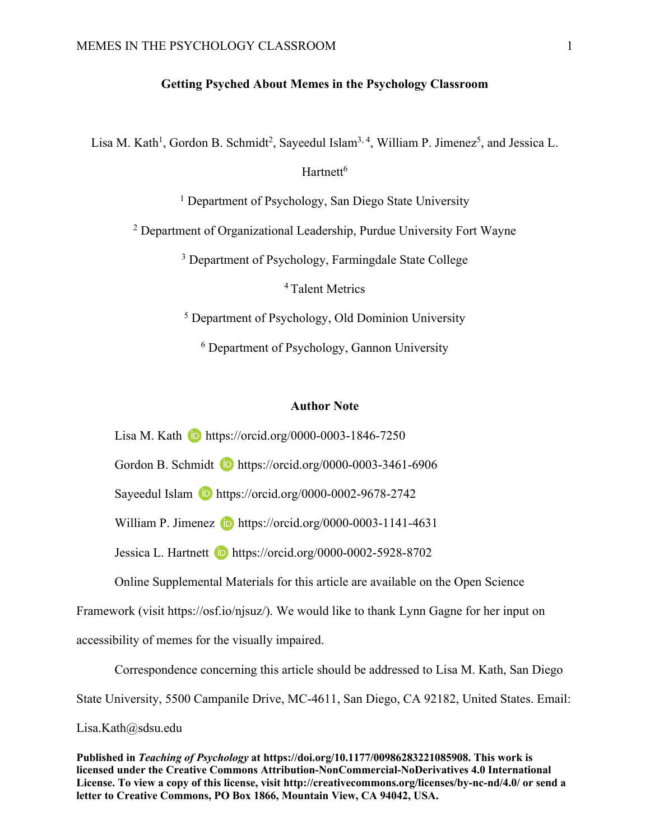## **Getting Psyched About Memes in the Psychology Classroom**

Lisa M. Kath<sup>1</sup>, Gordon B. Schmidt<sup>2</sup>, Sayeedul Islam<sup>3, 4</sup>, William P. Jimenez<sup>5</sup>, and Jessica L.

Hartnett<sup>6</sup>

<sup>1</sup> Department of Psychology, San Diego State University

<sup>2</sup> Department of Organizational Leadership, Purdue University Fort Wayne

<sup>3</sup> Department of Psychology, Farmingdale State College

4 Talent Metrics

<sup>5</sup> Department of Psychology, Old Dominion University

<sup>6</sup> Department of Psychology, Gannon University

## **Author Note**

Lisa M. Kath **iD** https://orcid.org/0000-0003-1846-7250

Gordon B. Schmidt **b** https://orcid.org/0000-0003-3461-6906

Sayeedul Islam **D** https://orcid.org/0000-0002-9678-2742

William P. Jimenez  $\Box$  https://orcid.org/0000-0003-1141-4631

Jessica L. Hartnett **b** https://orcid.org/0000-0002-5928-8702

Online Supplemental Materials for this article are available on the Open Science

Framework (visit https://osf.io/njsuz/). We would like to thank Lynn Gagne for her input on

accessibility of memes for the visually impaired.

Correspondence concerning this article should be addressed to Lisa M. Kath, San Diego

State University, 5500 Campanile Drive, MC-4611, San Diego, CA 92182, United States. Email:

Lisa.Kath@sdsu.edu

**Published in** *Teaching of Psychology* **at https://doi.org/10.1177/00986283221085908. This work is licensed under the Creative Commons Attribution-NonCommercial-NoDerivatives 4.0 International License. To view a copy of this license, visit http://creativecommons.org/licenses/by-nc-nd/4.0/ or send a letter to Creative Commons, PO Box 1866, Mountain View, CA 94042, USA.**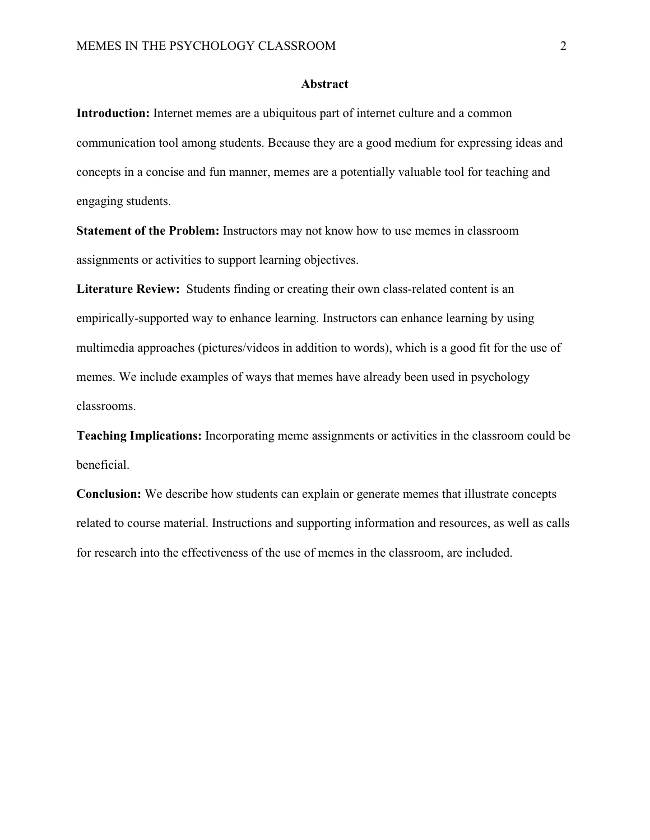## **Abstract**

**Introduction:** Internet memes are a ubiquitous part of internet culture and a common communication tool among students. Because they are a good medium for expressing ideas and concepts in a concise and fun manner, memes are a potentially valuable tool for teaching and engaging students.

**Statement of the Problem:** Instructors may not know how to use memes in classroom assignments or activities to support learning objectives.

**Literature Review:** Students finding or creating their own class-related content is an empirically-supported way to enhance learning. Instructors can enhance learning by using multimedia approaches (pictures/videos in addition to words), which is a good fit for the use of memes. We include examples of ways that memes have already been used in psychology classrooms.

**Teaching Implications:** Incorporating meme assignments or activities in the classroom could be beneficial.

**Conclusion:** We describe how students can explain or generate memes that illustrate concepts related to course material. Instructions and supporting information and resources, as well as calls for research into the effectiveness of the use of memes in the classroom, are included.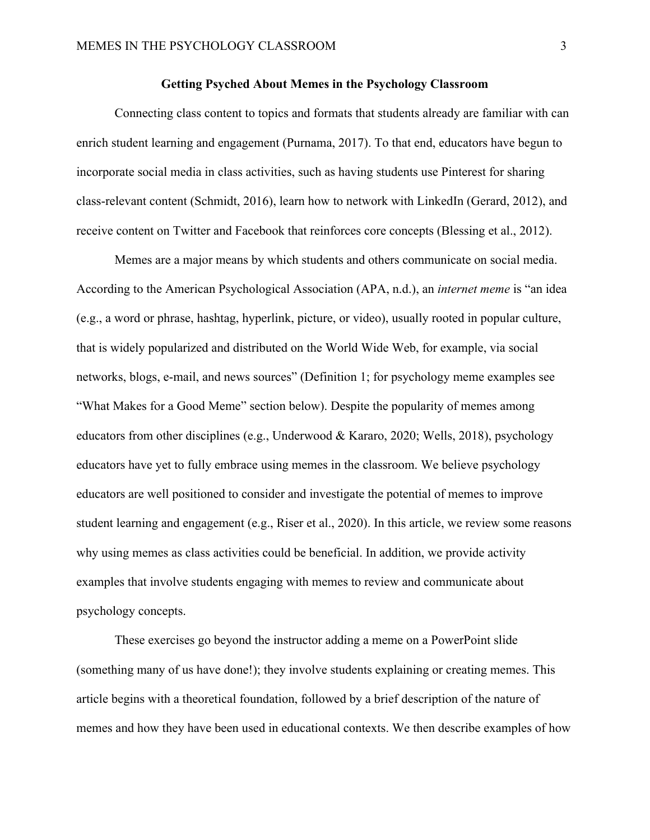## **Getting Psyched About Memes in the Psychology Classroom**

Connecting class content to topics and formats that students already are familiar with can enrich student learning and engagement (Purnama, 2017). To that end, educators have begun to incorporate social media in class activities, such as having students use Pinterest for sharing class-relevant content (Schmidt, 2016), learn how to network with LinkedIn (Gerard, 2012), and receive content on Twitter and Facebook that reinforces core concepts (Blessing et al., 2012).

Memes are a major means by which students and others communicate on social media. According to the American Psychological Association (APA, n.d.), an *internet meme* is "an idea (e.g., a word or phrase, hashtag, hyperlink, picture, or video), usually rooted in popular culture, that is widely popularized and distributed on the World Wide Web, for example, via social networks, blogs, e-mail, and news sources" (Definition 1; for psychology meme examples see "What Makes for a Good Meme" section below). Despite the popularity of memes among educators from other disciplines (e.g., Underwood & Kararo, 2020; Wells, 2018), psychology educators have yet to fully embrace using memes in the classroom. We believe psychology educators are well positioned to consider and investigate the potential of memes to improve student learning and engagement (e.g., Riser et al., 2020). In this article, we review some reasons why using memes as class activities could be beneficial. In addition, we provide activity examples that involve students engaging with memes to review and communicate about psychology concepts.

These exercises go beyond the instructor adding a meme on a PowerPoint slide (something many of us have done!); they involve students explaining or creating memes. This article begins with a theoretical foundation, followed by a brief description of the nature of memes and how they have been used in educational contexts. We then describe examples of how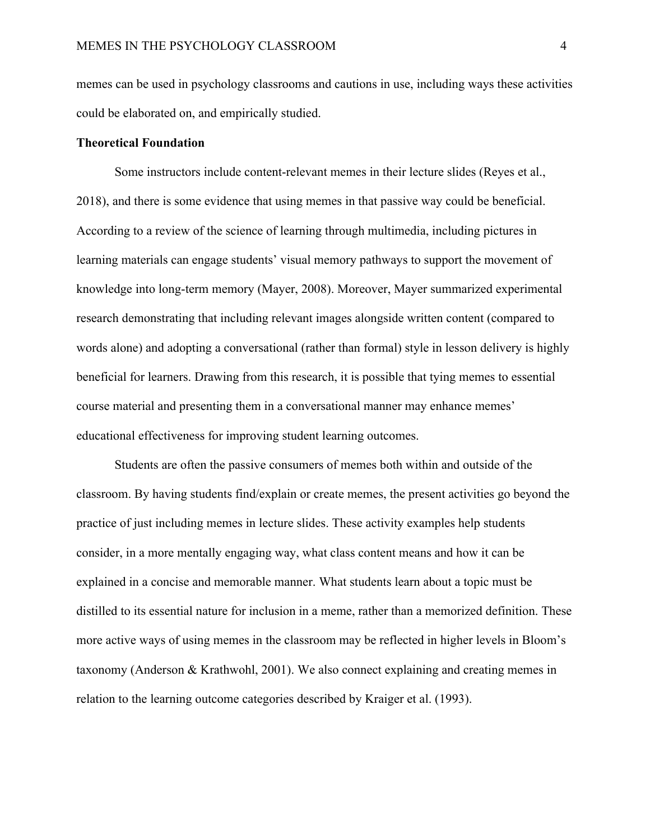memes can be used in psychology classrooms and cautions in use, including ways these activities could be elaborated on, and empirically studied.

## **Theoretical Foundation**

Some instructors include content-relevant memes in their lecture slides (Reyes et al., 2018), and there is some evidence that using memes in that passive way could be beneficial. According to a review of the science of learning through multimedia, including pictures in learning materials can engage students' visual memory pathways to support the movement of knowledge into long-term memory (Mayer, 2008). Moreover, Mayer summarized experimental research demonstrating that including relevant images alongside written content (compared to words alone) and adopting a conversational (rather than formal) style in lesson delivery is highly beneficial for learners. Drawing from this research, it is possible that tying memes to essential course material and presenting them in a conversational manner may enhance memes' educational effectiveness for improving student learning outcomes.

Students are often the passive consumers of memes both within and outside of the classroom. By having students find/explain or create memes, the present activities go beyond the practice of just including memes in lecture slides. These activity examples help students consider, in a more mentally engaging way, what class content means and how it can be explained in a concise and memorable manner. What students learn about a topic must be distilled to its essential nature for inclusion in a meme, rather than a memorized definition. These more active ways of using memes in the classroom may be reflected in higher levels in Bloom's taxonomy (Anderson & Krathwohl, 2001). We also connect explaining and creating memes in relation to the learning outcome categories described by Kraiger et al. (1993).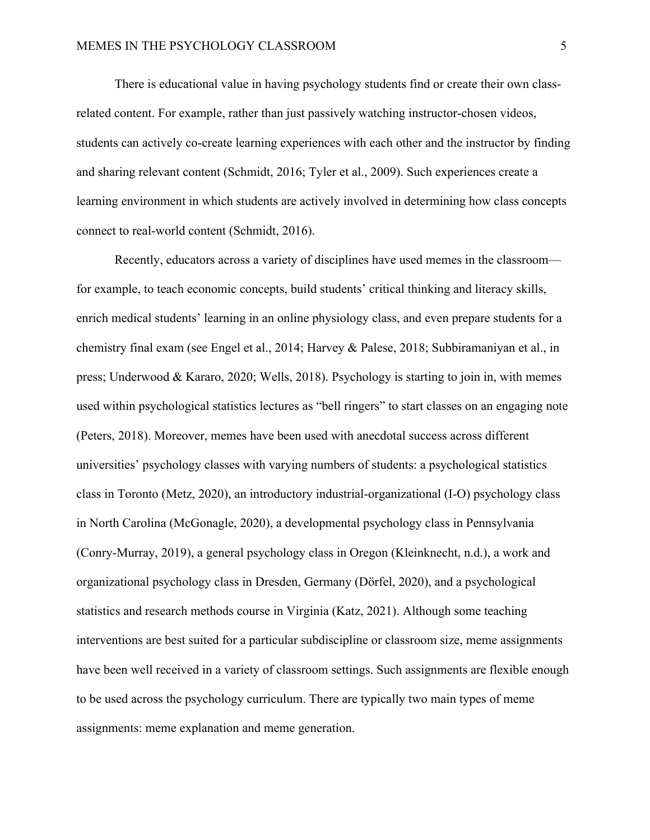There is educational value in having psychology students find or create their own classrelated content. For example, rather than just passively watching instructor-chosen videos, students can actively co-create learning experiences with each other and the instructor by finding and sharing relevant content (Schmidt, 2016; Tyler et al., 2009). Such experiences create a learning environment in which students are actively involved in determining how class concepts connect to real-world content (Schmidt, 2016).

Recently, educators across a variety of disciplines have used memes in the classroom for example, to teach economic concepts, build students' critical thinking and literacy skills, enrich medical students' learning in an online physiology class, and even prepare students for a chemistry final exam (see Engel et al., 2014; Harvey & Palese, 2018; Subbiramaniyan et al., in press; Underwood & Kararo, 2020; Wells, 2018). Psychology is starting to join in, with memes used within psychological statistics lectures as "bell ringers" to start classes on an engaging note (Peters, 2018). Moreover, memes have been used with anecdotal success across different universities' psychology classes with varying numbers of students: a psychological statistics class in Toronto (Metz, 2020), an introductory industrial-organizational (I-O) psychology class in North Carolina (McGonagle, 2020), a developmental psychology class in Pennsylvania (Conry-Murray, 2019), a general psychology class in Oregon (Kleinknecht, n.d.), a work and organizational psychology class in Dresden, Germany (Dörfel, 2020), and a psychological statistics and research methods course in Virginia (Katz, 2021). Although some teaching interventions are best suited for a particular subdiscipline or classroom size, meme assignments have been well received in a variety of classroom settings. Such assignments are flexible enough to be used across the psychology curriculum. There are typically two main types of meme assignments: meme explanation and meme generation.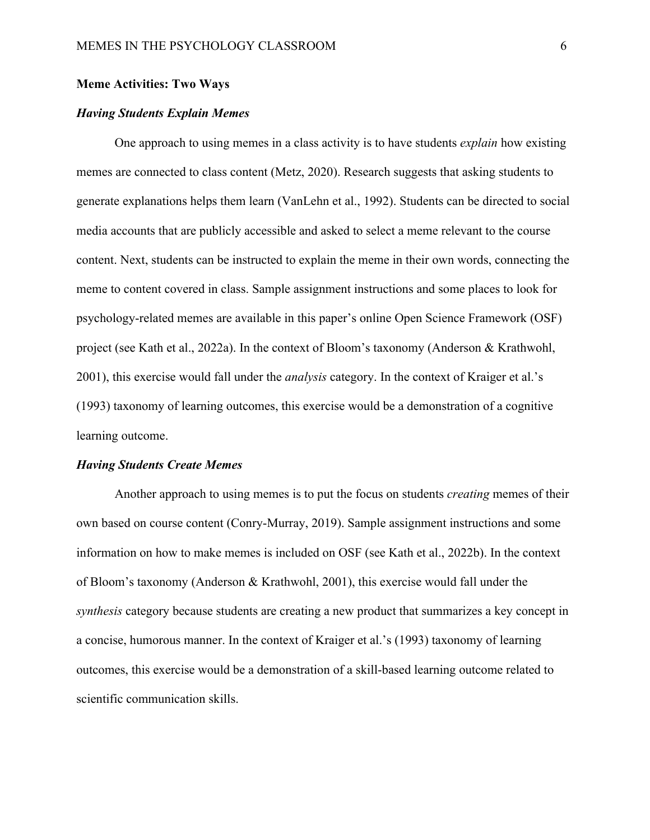## **Meme Activities: Two Ways**

## *Having Students Explain Memes*

One approach to using memes in a class activity is to have students *explain* how existing memes are connected to class content (Metz, 2020). Research suggests that asking students to generate explanations helps them learn (VanLehn et al., 1992). Students can be directed to social media accounts that are publicly accessible and asked to select a meme relevant to the course content. Next, students can be instructed to explain the meme in their own words, connecting the meme to content covered in class. Sample assignment instructions and some places to look for psychology-related memes are available in this paper's online Open Science Framework (OSF) project (see Kath et al., 2022a). In the context of Bloom's taxonomy (Anderson & Krathwohl, 2001), this exercise would fall under the *analysis* category. In the context of Kraiger et al.'s (1993) taxonomy of learning outcomes, this exercise would be a demonstration of a cognitive learning outcome.

#### *Having Students Create Memes*

Another approach to using memes is to put the focus on students *creating* memes of their own based on course content (Conry-Murray, 2019). Sample assignment instructions and some information on how to make memes is included on OSF (see Kath et al., 2022b). In the context of Bloom's taxonomy (Anderson & Krathwohl, 2001), this exercise would fall under the *synthesis* category because students are creating a new product that summarizes a key concept in a concise, humorous manner. In the context of Kraiger et al.'s (1993) taxonomy of learning outcomes, this exercise would be a demonstration of a skill-based learning outcome related to scientific communication skills.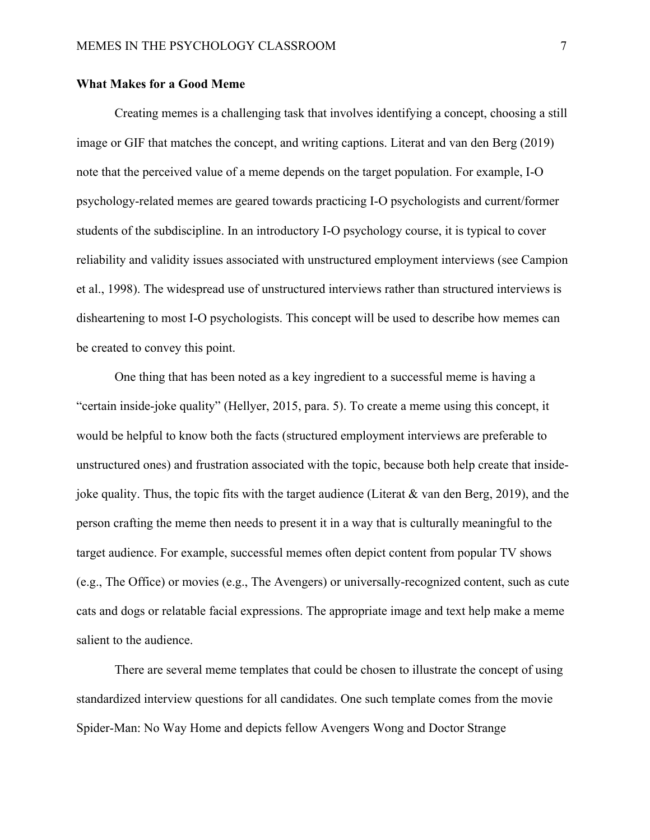## **What Makes for a Good Meme**

Creating memes is a challenging task that involves identifying a concept, choosing a still image or GIF that matches the concept, and writing captions. Literat and van den Berg (2019) note that the perceived value of a meme depends on the target population. For example, I-O psychology-related memes are geared towards practicing I-O psychologists and current/former students of the subdiscipline. In an introductory I-O psychology course, it is typical to cover reliability and validity issues associated with unstructured employment interviews (see Campion et al., 1998). The widespread use of unstructured interviews rather than structured interviews is disheartening to most I-O psychologists. This concept will be used to describe how memes can be created to convey this point.

One thing that has been noted as a key ingredient to a successful meme is having a "certain inside-joke quality" (Hellyer, 2015, para. 5). To create a meme using this concept, it would be helpful to know both the facts (structured employment interviews are preferable to unstructured ones) and frustration associated with the topic, because both help create that insidejoke quality. Thus, the topic fits with the target audience (Literat & van den Berg, 2019), and the person crafting the meme then needs to present it in a way that is culturally meaningful to the target audience. For example, successful memes often depict content from popular TV shows (e.g., The Office) or movies (e.g., The Avengers) or universally-recognized content, such as cute cats and dogs or relatable facial expressions. The appropriate image and text help make a meme salient to the audience.

There are several meme templates that could be chosen to illustrate the concept of using standardized interview questions for all candidates. One such template comes from the movie Spider-Man: No Way Home and depicts fellow Avengers Wong and Doctor Strange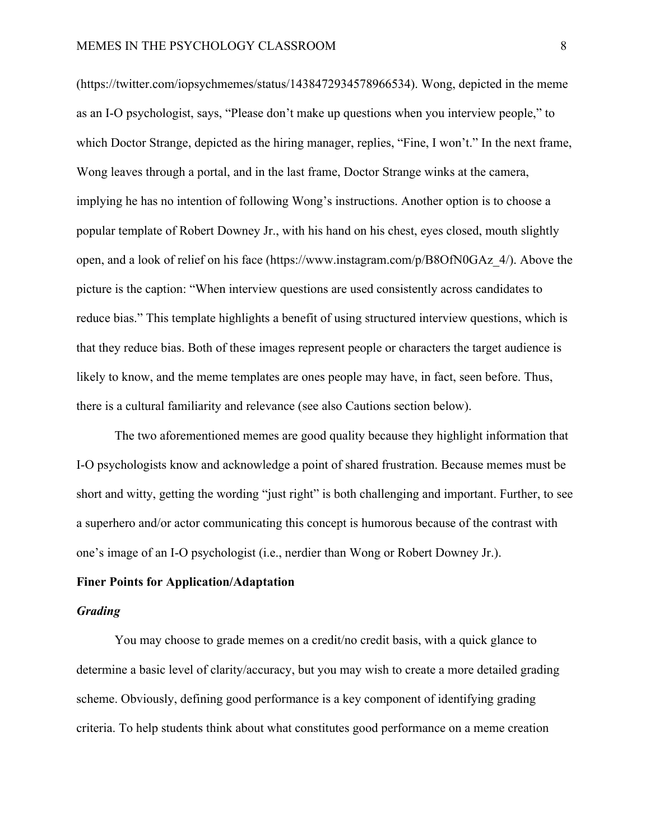(https://twitter.com/iopsychmemes/status/1438472934578966534). Wong, depicted in the meme as an I-O psychologist, says, "Please don't make up questions when you interview people," to which Doctor Strange, depicted as the hiring manager, replies, "Fine, I won't." In the next frame, Wong leaves through a portal, and in the last frame, Doctor Strange winks at the camera, implying he has no intention of following Wong's instructions. Another option is to choose a popular template of Robert Downey Jr., with his hand on his chest, eyes closed, mouth slightly open, and a look of relief on his face (https://www.instagram.com/p/B8OfN0GAz\_4/). Above the picture is the caption: "When interview questions are used consistently across candidates to reduce bias." This template highlights a benefit of using structured interview questions, which is that they reduce bias. Both of these images represent people or characters the target audience is likely to know, and the meme templates are ones people may have, in fact, seen before. Thus, there is a cultural familiarity and relevance (see also Cautions section below).

The two aforementioned memes are good quality because they highlight information that I-O psychologists know and acknowledge a point of shared frustration. Because memes must be short and witty, getting the wording "just right" is both challenging and important. Further, to see a superhero and/or actor communicating this concept is humorous because of the contrast with one's image of an I-O psychologist (i.e., nerdier than Wong or Robert Downey Jr.).

## **Finer Points for Application/Adaptation**

#### *Grading*

You may choose to grade memes on a credit/no credit basis, with a quick glance to determine a basic level of clarity/accuracy, but you may wish to create a more detailed grading scheme. Obviously, defining good performance is a key component of identifying grading criteria. To help students think about what constitutes good performance on a meme creation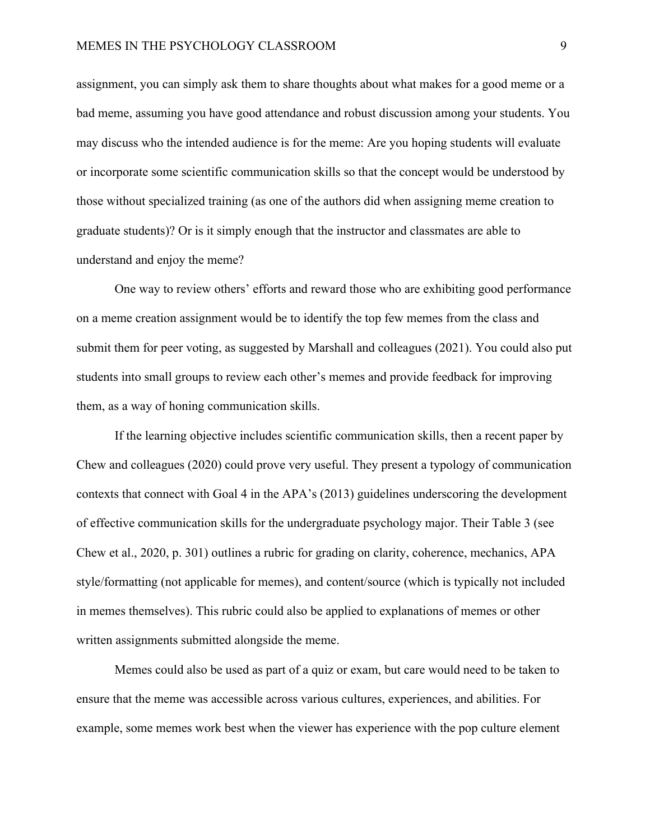assignment, you can simply ask them to share thoughts about what makes for a good meme or a bad meme, assuming you have good attendance and robust discussion among your students. You may discuss who the intended audience is for the meme: Are you hoping students will evaluate or incorporate some scientific communication skills so that the concept would be understood by those without specialized training (as one of the authors did when assigning meme creation to graduate students)? Or is it simply enough that the instructor and classmates are able to understand and enjoy the meme?

One way to review others' efforts and reward those who are exhibiting good performance on a meme creation assignment would be to identify the top few memes from the class and submit them for peer voting, as suggested by Marshall and colleagues (2021). You could also put students into small groups to review each other's memes and provide feedback for improving them, as a way of honing communication skills.

If the learning objective includes scientific communication skills, then a recent paper by Chew and colleagues (2020) could prove very useful. They present a typology of communication contexts that connect with Goal 4 in the APA's (2013) guidelines underscoring the development of effective communication skills for the undergraduate psychology major. Their Table 3 (see Chew et al., 2020, p. 301) outlines a rubric for grading on clarity, coherence, mechanics, APA style/formatting (not applicable for memes), and content/source (which is typically not included in memes themselves). This rubric could also be applied to explanations of memes or other written assignments submitted alongside the meme.

Memes could also be used as part of a quiz or exam, but care would need to be taken to ensure that the meme was accessible across various cultures, experiences, and abilities. For example, some memes work best when the viewer has experience with the pop culture element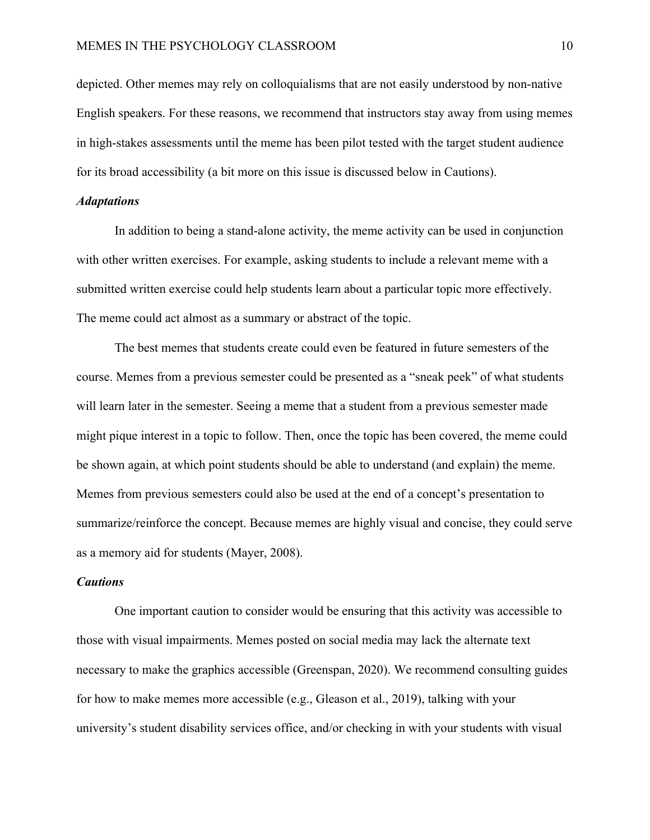depicted. Other memes may rely on colloquialisms that are not easily understood by non-native English speakers. For these reasons, we recommend that instructors stay away from using memes in high-stakes assessments until the meme has been pilot tested with the target student audience for its broad accessibility (a bit more on this issue is discussed below in Cautions).

## *Adaptations*

In addition to being a stand-alone activity, the meme activity can be used in conjunction with other written exercises. For example, asking students to include a relevant meme with a submitted written exercise could help students learn about a particular topic more effectively. The meme could act almost as a summary or abstract of the topic.

The best memes that students create could even be featured in future semesters of the course. Memes from a previous semester could be presented as a "sneak peek" of what students will learn later in the semester. Seeing a meme that a student from a previous semester made might pique interest in a topic to follow. Then, once the topic has been covered, the meme could be shown again, at which point students should be able to understand (and explain) the meme. Memes from previous semesters could also be used at the end of a concept's presentation to summarize/reinforce the concept. Because memes are highly visual and concise, they could serve as a memory aid for students (Mayer, 2008).

## *Cautions*

One important caution to consider would be ensuring that this activity was accessible to those with visual impairments. Memes posted on social media may lack the alternate text necessary to make the graphics accessible (Greenspan, 2020). We recommend consulting guides for how to make memes more accessible (e.g., Gleason et al., 2019), talking with your university's student disability services office, and/or checking in with your students with visual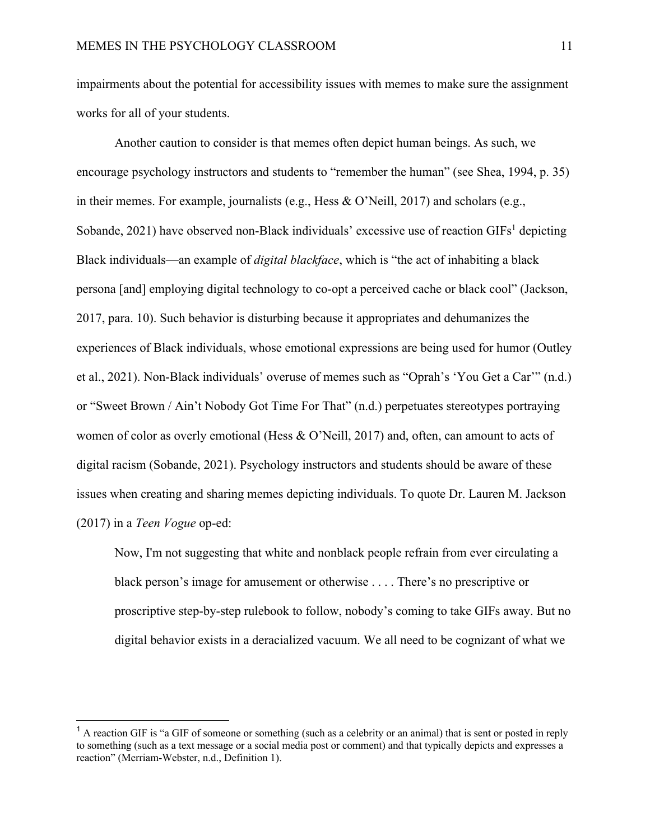impairments about the potential for accessibility issues with memes to make sure the assignment works for all of your students.

Another caution to consider is that memes often depict human beings. As such, we encourage psychology instructors and students to "remember the human" (see Shea, 1994, p. 35) in their memes. For example, journalists (e.g., Hess & O'Neill, 2017) and scholars (e.g., Sobande, 2021) have observed non-Black individuals' excessive use of reaction  $GIFs<sup>1</sup>$  depicting Black individuals—an example of *digital blackface*, which is "the act of inhabiting a black persona [and] employing digital technology to co-opt a perceived cache or black cool" (Jackson, 2017, para. 10). Such behavior is disturbing because it appropriates and dehumanizes the experiences of Black individuals, whose emotional expressions are being used for humor (Outley et al., 2021). Non-Black individuals' overuse of memes such as "Oprah's 'You Get a Car'" (n.d.) or "Sweet Brown / Ain't Nobody Got Time For That" (n.d.) perpetuates stereotypes portraying women of color as overly emotional (Hess & O'Neill, 2017) and, often, can amount to acts of digital racism (Sobande, 2021). Psychology instructors and students should be aware of these issues when creating and sharing memes depicting individuals. To quote Dr. Lauren M. Jackson (2017) in a *Teen Vogue* op-ed:

Now, I'm not suggesting that white and nonblack people refrain from ever circulating a black person's image for amusement or otherwise . . . . There's no prescriptive or proscriptive step-by-step rulebook to follow, nobody's coming to take GIFs away. But no digital behavior exists in a deracialized vacuum. We all need to be cognizant of what we

<sup>&</sup>lt;sup>1</sup> A reaction GIF is "a GIF of someone or something (such as a celebrity or an animal) that is sent or posted in reply to something (such as a text message or a social media post or comment) and that typically depicts and expresses a reaction" (Merriam-Webster, n.d., Definition 1).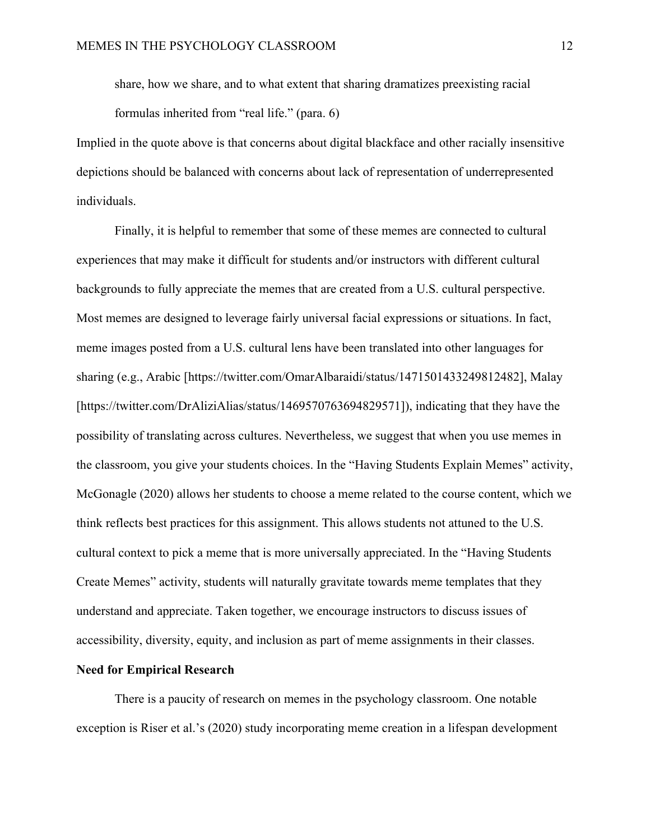share, how we share, and to what extent that sharing dramatizes preexisting racial formulas inherited from "real life." (para. 6)

Implied in the quote above is that concerns about digital blackface and other racially insensitive depictions should be balanced with concerns about lack of representation of underrepresented individuals.

Finally, it is helpful to remember that some of these memes are connected to cultural experiences that may make it difficult for students and/or instructors with different cultural backgrounds to fully appreciate the memes that are created from a U.S. cultural perspective. Most memes are designed to leverage fairly universal facial expressions or situations. In fact, meme images posted from a U.S. cultural lens have been translated into other languages for sharing (e.g., Arabic [https://twitter.com/OmarAlbaraidi/status/1471501433249812482], Malay [https://twitter.com/DrAliziAlias/status/1469570763694829571]), indicating that they have the possibility of translating across cultures. Nevertheless, we suggest that when you use memes in the classroom, you give your students choices. In the "Having Students Explain Memes" activity, McGonagle (2020) allows her students to choose a meme related to the course content, which we think reflects best practices for this assignment. This allows students not attuned to the U.S. cultural context to pick a meme that is more universally appreciated. In the "Having Students Create Memes" activity, students will naturally gravitate towards meme templates that they understand and appreciate. Taken together, we encourage instructors to discuss issues of accessibility, diversity, equity, and inclusion as part of meme assignments in their classes.

## **Need for Empirical Research**

There is a paucity of research on memes in the psychology classroom. One notable exception is Riser et al.'s (2020) study incorporating meme creation in a lifespan development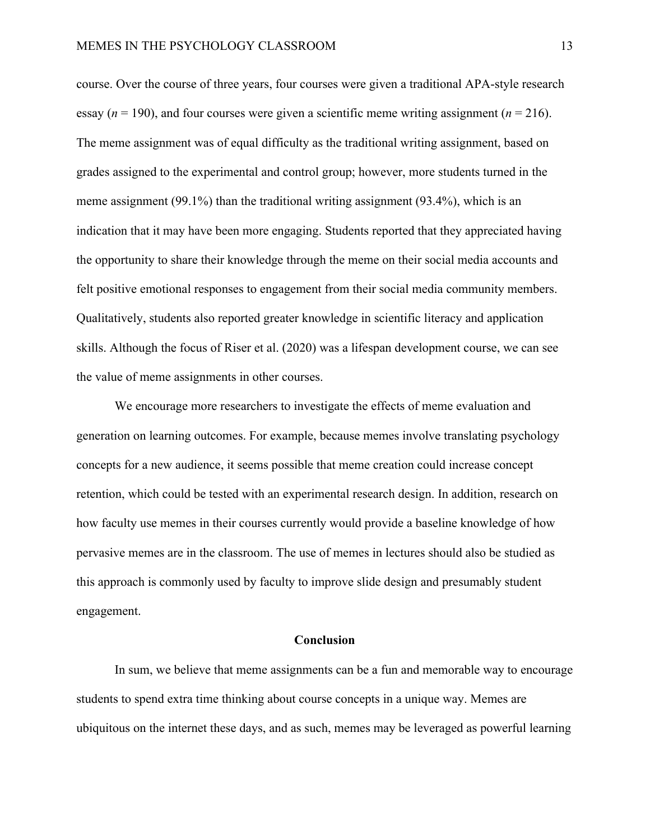course. Over the course of three years, four courses were given a traditional APA-style research essay  $(n = 190)$ , and four courses were given a scientific meme writing assignment  $(n = 216)$ . The meme assignment was of equal difficulty as the traditional writing assignment, based on grades assigned to the experimental and control group; however, more students turned in the meme assignment (99.1%) than the traditional writing assignment (93.4%), which is an indication that it may have been more engaging. Students reported that they appreciated having the opportunity to share their knowledge through the meme on their social media accounts and felt positive emotional responses to engagement from their social media community members. Qualitatively, students also reported greater knowledge in scientific literacy and application skills. Although the focus of Riser et al. (2020) was a lifespan development course, we can see the value of meme assignments in other courses.

We encourage more researchers to investigate the effects of meme evaluation and generation on learning outcomes. For example, because memes involve translating psychology concepts for a new audience, it seems possible that meme creation could increase concept retention, which could be tested with an experimental research design. In addition, research on how faculty use memes in their courses currently would provide a baseline knowledge of how pervasive memes are in the classroom. The use of memes in lectures should also be studied as this approach is commonly used by faculty to improve slide design and presumably student engagement.

## **Conclusion**

In sum, we believe that meme assignments can be a fun and memorable way to encourage students to spend extra time thinking about course concepts in a unique way. Memes are ubiquitous on the internet these days, and as such, memes may be leveraged as powerful learning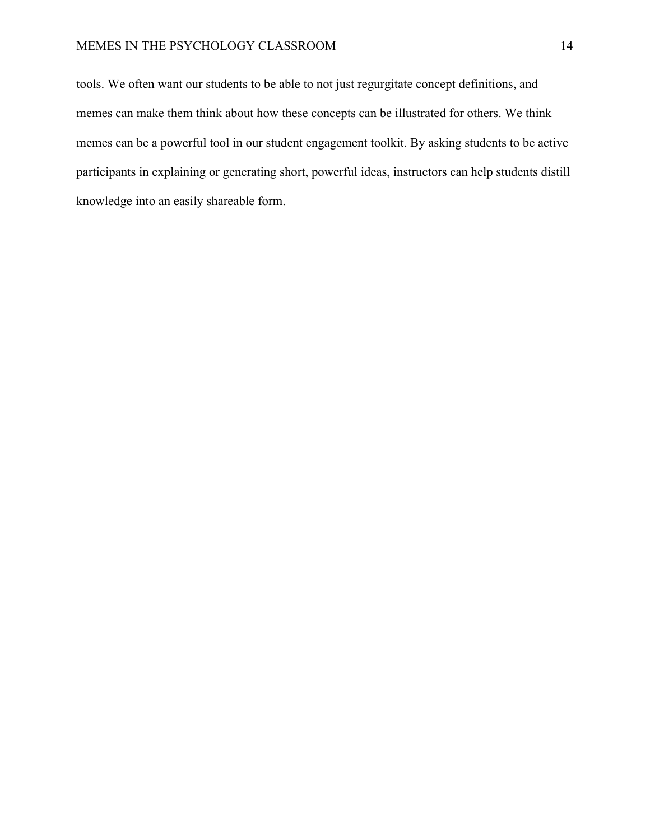## MEMES IN THE PSYCHOLOGY CLASSROOM 14

tools. We often want our students to be able to not just regurgitate concept definitions, and memes can make them think about how these concepts can be illustrated for others. We think memes can be a powerful tool in our student engagement toolkit. By asking students to be active participants in explaining or generating short, powerful ideas, instructors can help students distill knowledge into an easily shareable form.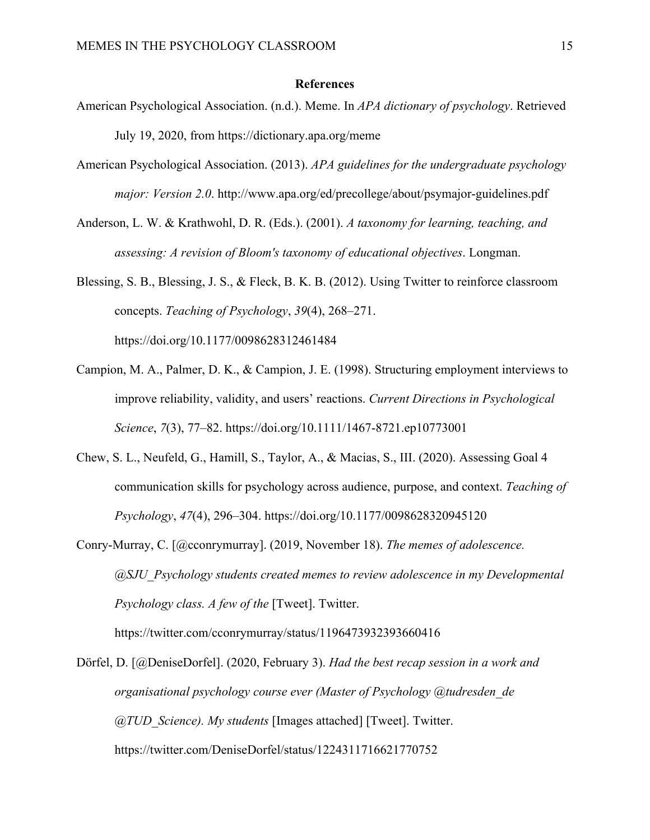## **References**

- American Psychological Association. (n.d.). Meme. In *APA dictionary of psychology*. Retrieved July 19, 2020, from https://dictionary.apa.org/meme
- American Psychological Association. (2013). *APA guidelines for the undergraduate psychology major: Version 2.0*. http://www.apa.org/ed/precollege/about/psymajor-guidelines.pdf
- Anderson, L. W. & Krathwohl, D. R. (Eds.). (2001). *A taxonomy for learning, teaching, and assessing: A revision of Bloom's taxonomy of educational objectives*. Longman.
- Blessing, S. B., Blessing, J. S., & Fleck, B. K. B. (2012). Using Twitter to reinforce classroom concepts. *Teaching of Psychology*, *39*(4), 268–271. https://doi.org/10.1177/0098628312461484
- Campion, M. A., Palmer, D. K., & Campion, J. E. (1998). Structuring employment interviews to improve reliability, validity, and users' reactions. *Current Directions in Psychological Science*, *7*(3), 77–82. https://doi.org/10.1111/1467-8721.ep10773001
- Chew, S. L., Neufeld, G., Hamill, S., Taylor, A., & Macias, S., III. (2020). Assessing Goal 4 communication skills for psychology across audience, purpose, and context. *Teaching of Psychology*, *47*(4), 296–304. https://doi.org/10.1177/0098628320945120
- Conry-Murray, C. [@cconrymurray]. (2019, November 18). *The memes of adolescence. @SJU\_Psychology students created memes to review adolescence in my Developmental Psychology class. A few of the* [Tweet]. Twitter. https://twitter.com/cconrymurray/status/1196473932393660416

Dörfel, D. [@DeniseDorfel]. (2020, February 3). *Had the best recap session in a work and organisational psychology course ever (Master of Psychology @tudresden\_de @TUD\_Science). My students* [Images attached] [Tweet]. Twitter. https://twitter.com/DeniseDorfel/status/1224311716621770752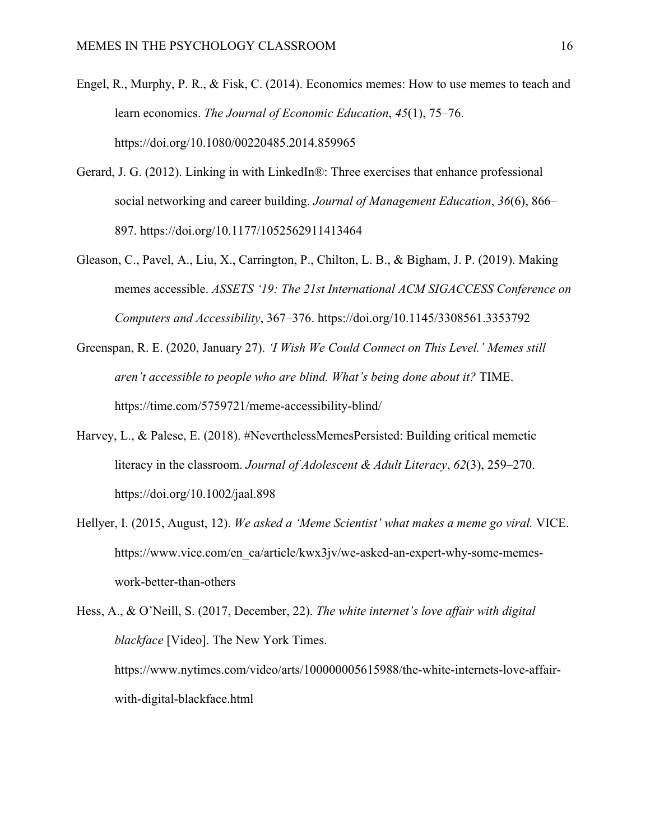- Engel, R., Murphy, P. R., & Fisk, C. (2014). Economics memes: How to use memes to teach and learn economics. *The Journal of Economic Education*, *45*(1), 75–76. https://doi.org/10.1080/00220485.2014.859965
- Gerard, J. G. (2012). Linking in with LinkedIn®: Three exercises that enhance professional social networking and career building. *Journal of Management Education*, *36*(6), 866– 897. https://doi.org/10.1177/1052562911413464
- Gleason, C., Pavel, A., Liu, X., Carrington, P., Chilton, L. B., & Bigham, J. P. (2019). Making memes accessible. *ASSETS '19: The 21st International ACM SIGACCESS Conference on Computers and Accessibility*, 367–376. https://doi.org/10.1145/3308561.3353792
- Greenspan, R. E. (2020, January 27). *'I Wish We Could Connect on This Level.' Memes still aren't accessible to people who are blind. What's being done about it?* TIME. https://time.com/5759721/meme-accessibility-blind/
- Harvey, L., & Palese, E. (2018). #NeverthelessMemesPersisted: Building critical memetic literacy in the classroom. *Journal of Adolescent & Adult Literacy*, *62*(3), 259–270. https://doi.org/10.1002/jaal.898
- Hellyer, I. (2015, August, 12). *We asked a 'Meme Scientist' what makes a meme go viral.* VICE. https://www.vice.com/en\_ca/article/kwx3jv/we-asked-an-expert-why-some-memeswork-better-than-others

Hess, A., & O'Neill, S. (2017, December, 22). *The white internet's love affair with digital blackface* [Video]. The New York Times. https://www.nytimes.com/video/arts/100000005615988/the-white-internets-love-affairwith-digital-blackface.html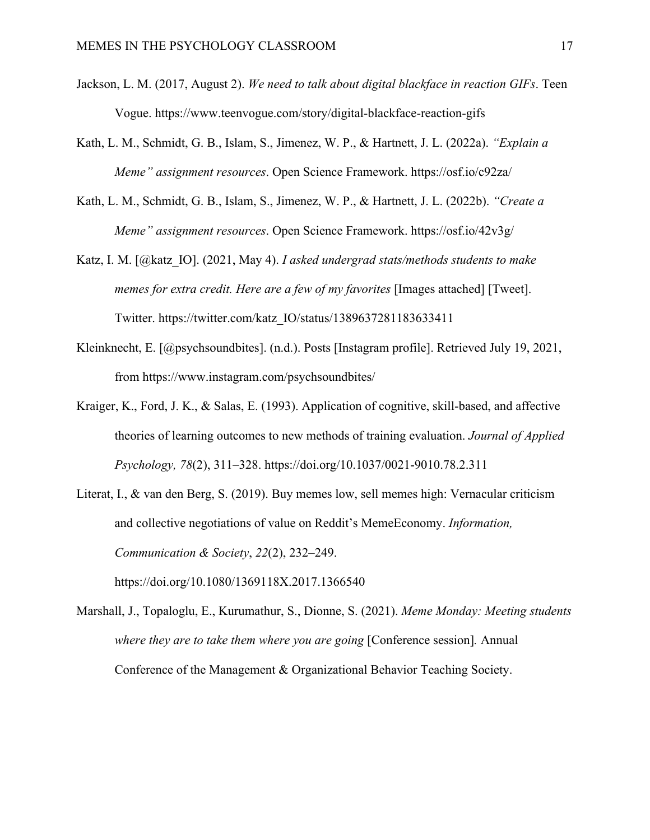- Jackson, L. M. (2017, August 2). *We need to talk about digital blackface in reaction GIFs*. Teen Vogue. https://www.teenvogue.com/story/digital-blackface-reaction-gifs
- Kath, L. M., Schmidt, G. B., Islam, S., Jimenez, W. P., & Hartnett, J. L. (2022a). *"Explain a Meme" assignment resources*. Open Science Framework. https://osf.io/c92za/
- Kath, L. M., Schmidt, G. B., Islam, S., Jimenez, W. P., & Hartnett, J. L. (2022b). *"Create a Meme" assignment resources*. Open Science Framework. https://osf.io/42v3g/
- Katz, I. M. [@katz\_IO]. (2021, May 4). *I asked undergrad stats/methods students to make memes for extra credit. Here are a few of my favorites* [Images attached] [Tweet]. Twitter. https://twitter.com/katz\_IO/status/1389637281183633411
- Kleinknecht, E. [@psychsoundbites]. (n.d.). Posts [Instagram profile]. Retrieved July 19, 2021, from https://www.instagram.com/psychsoundbites/
- Kraiger, K., Ford, J. K., & Salas, E. (1993). Application of cognitive, skill-based, and affective theories of learning outcomes to new methods of training evaluation. *Journal of Applied Psychology, 78*(2), 311–328. https://doi.org/10.1037/0021-9010.78.2.311
- Literat, I., & van den Berg, S. (2019). Buy memes low, sell memes high: Vernacular criticism and collective negotiations of value on Reddit's MemeEconomy. *Information, Communication & Society*, *22*(2), 232–249. https://doi.org/10.1080/1369118X.2017.1366540

Marshall, J., Topaloglu, E., Kurumathur, S., Dionne, S. (2021). *Meme Monday: Meeting students where they are to take them where you are going* [Conference session]*.* Annual Conference of the Management & Organizational Behavior Teaching Society.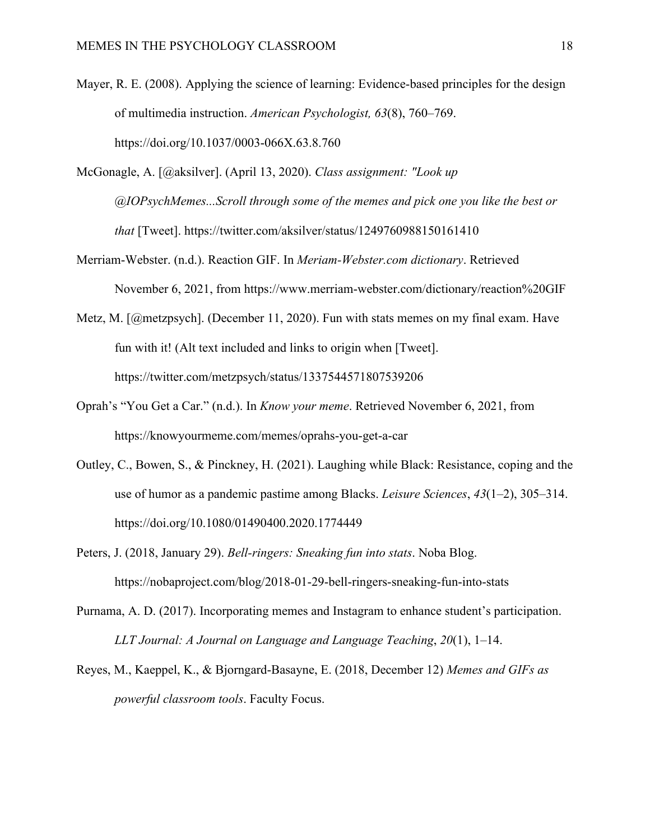- Mayer, R. E. (2008). Applying the science of learning: Evidence-based principles for the design of multimedia instruction. *American Psychologist, 63*(8), 760–769. https://doi.org/10.1037/0003-066X.63.8.760
- McGonagle, A. [@aksilver]. (April 13, 2020). *Class assignment: "Look up @IOPsychMemes...Scroll through some of the memes and pick one you like the best or that* [Tweet]. https://twitter.com/aksilver/status/1249760988150161410
- Merriam-Webster. (n.d.). Reaction GIF. In *Meriam-Webster.com dictionary*. Retrieved November 6, 2021, from https://www.merriam-webster.com/dictionary/reaction%20GIF
- Metz, M. [@metzpsych]. (December 11, 2020). Fun with stats memes on my final exam. Have fun with it! (Alt text included and links to origin when [Tweet]. https://twitter.com/metzpsych/status/1337544571807539206
- Oprah's "You Get a Car." (n.d.). In *Know your meme*. Retrieved November 6, 2021, from https://knowyourmeme.com/memes/oprahs-you-get-a-car
- Outley, C., Bowen, S., & Pinckney, H. (2021). Laughing while Black: Resistance, coping and the use of humor as a pandemic pastime among Blacks. *Leisure Sciences*, *43*(1–2), 305–314. https://doi.org/10.1080/01490400.2020.1774449
- Peters, J. (2018, January 29). *Bell-ringers: Sneaking fun into stats*. Noba Blog. https://nobaproject.com/blog/2018-01-29-bell-ringers-sneaking-fun-into-stats
- Purnama, A. D. (2017). Incorporating memes and Instagram to enhance student's participation. *LLT Journal: A Journal on Language and Language Teaching*, *20*(1), 1–14.
- Reyes, M., Kaeppel, K., & Bjorngard-Basayne, E. (2018, December 12) *Memes and GIFs as powerful classroom tools*. Faculty Focus.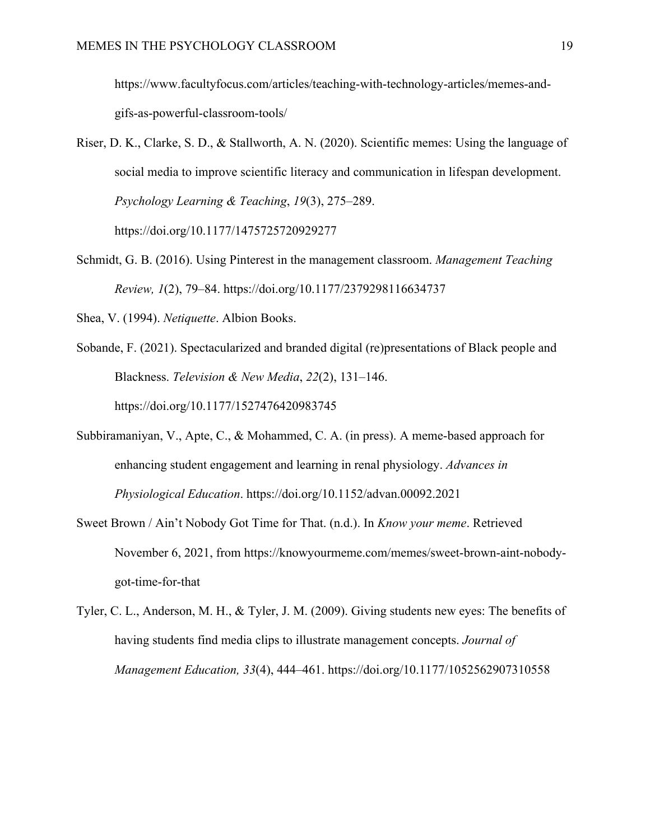https://www.facultyfocus.com/articles/teaching-with-technology-articles/memes-andgifs-as-powerful-classroom-tools/

- Riser, D. K., Clarke, S. D., & Stallworth, A. N. (2020). Scientific memes: Using the language of social media to improve scientific literacy and communication in lifespan development. *Psychology Learning & Teaching*, *19*(3), 275–289. https://doi.org/10.1177/1475725720929277
- Schmidt, G. B. (2016). Using Pinterest in the management classroom. *Management Teaching Review, 1*(2), 79–84. https://doi.org/10.1177/2379298116634737
- Shea, V. (1994). *Netiquette*. Albion Books.
- Sobande, F. (2021). Spectacularized and branded digital (re)presentations of Black people and Blackness. *Television & New Media*, *22*(2), 131–146. https://doi.org/10.1177/1527476420983745
- Subbiramaniyan, V., Apte, C., & Mohammed, C. A. (in press). A meme-based approach for enhancing student engagement and learning in renal physiology. *Advances in Physiological Education*. https://doi.org/10.1152/advan.00092.2021
- Sweet Brown / Ain't Nobody Got Time for That. (n.d.). In *Know your meme*. Retrieved November 6, 2021, from https://knowyourmeme.com/memes/sweet-brown-aint-nobodygot-time-for-that
- Tyler, C. L., Anderson, M. H., & Tyler, J. M. (2009). Giving students new eyes: The benefits of having students find media clips to illustrate management concepts. *Journal of Management Education, 33*(4), 444–461. https://doi.org/10.1177/1052562907310558